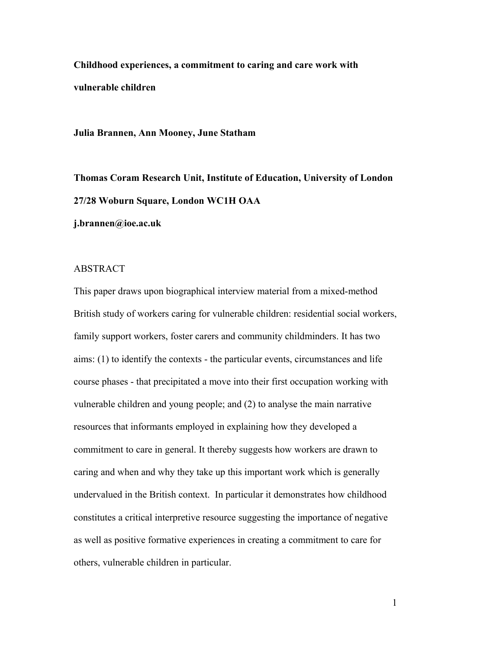**Childhood experiences, a commitment to caring and care work with vulnerable children**

**Julia Brannen, Ann Mooney, June Statham**

**Thomas Coram Research Unit, Institute of Education, University of London 27/28 Woburn Square, London WC1H OAA j.brannen@ioe.ac.uk**

# ABSTRACT

This paper draws upon biographical interview material from a mixed-method British study of workers caring for vulnerable children: residential social workers, family support workers, foster carers and community childminders. It has two aims: (1) to identify the contexts - the particular events, circumstances and life course phases - that precipitated a move into their first occupation working with vulnerable children and young people; and (2) to analyse the main narrative resources that informants employed in explaining how they developed a commitment to care in general. It thereby suggests how workers are drawn to caring and when and why they take up this important work which is generally undervalued in the British context. In particular it demonstrates how childhood constitutes a critical interpretive resource suggesting the importance of negative as well as positive formative experiences in creating a commitment to care for others, vulnerable children in particular.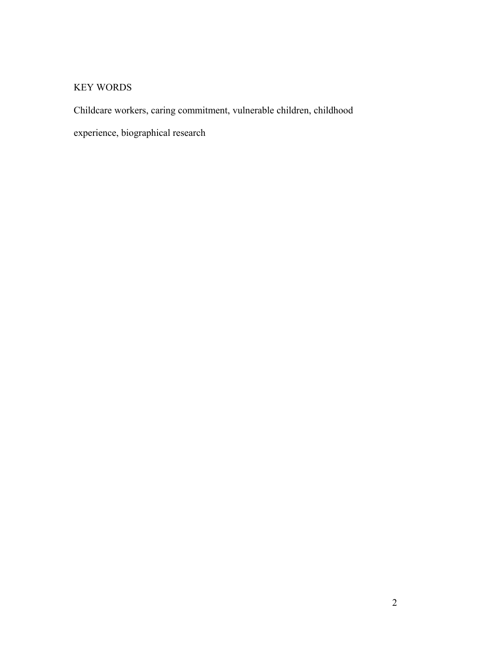# KEY WORDS

Childcare workers, caring commitment, vulnerable children, childhood

experience, biographical research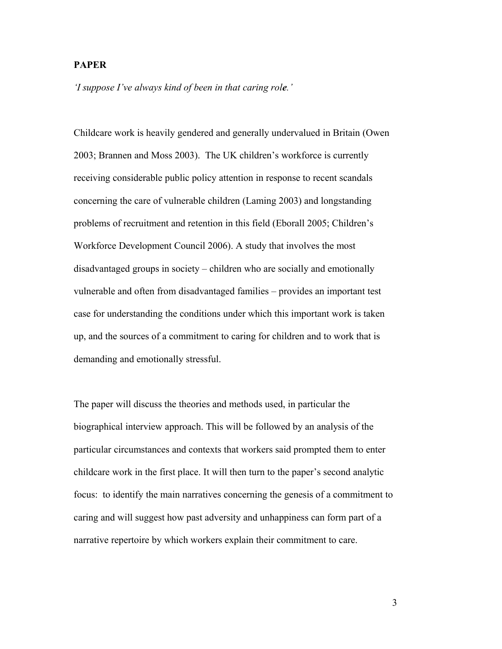# **PAPER**

*'I suppose I've always kind of been in that caring role.'*

Childcare work is heavily gendered and generally undervalued in Britain (Owen 2003; Brannen and Moss 2003). The UK children's workforce is currently receiving considerable public policy attention in response to recent scandals concerning the care of vulnerable children (Laming 2003) and longstanding problems of recruitment and retention in this field (Eborall 2005; Children's Workforce Development Council 2006). A study that involves the most disadvantaged groups in society – children who are socially and emotionally vulnerable and often from disadvantaged families – provides an important test case for understanding the conditions under which this important work is taken up, and the sources of a commitment to caring for children and to work that is demanding and emotionally stressful.

The paper will discuss the theories and methods used, in particular the biographical interview approach. This will be followed by an analysis of the particular circumstances and contexts that workers said prompted them to enter childcare work in the first place. It will then turn to the paper's second analytic focus: to identify the main narratives concerning the genesis of a commitment to caring and will suggest how past adversity and unhappiness can form part of a narrative repertoire by which workers explain their commitment to care.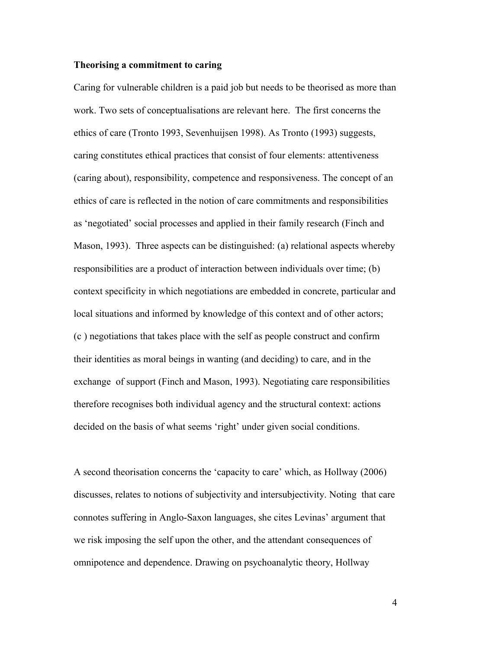## **Theorising a commitment to caring**

Caring for vulnerable children is a paid job but needs to be theorised as more than work. Two sets of conceptualisations are relevant here. The first concerns the ethics of care (Tronto 1993, Sevenhuijsen 1998). As Tronto (1993) suggests, caring constitutes ethical practices that consist of four elements: attentiveness (caring about), responsibility, competence and responsiveness. The concept of an ethics of care is reflected in the notion of care commitments and responsibilities as 'negotiated' social processes and applied in their family research (Finch and Mason, 1993). Three aspects can be distinguished: (a) relational aspects whereby responsibilities are a product of interaction between individuals over time; (b) context specificity in which negotiations are embedded in concrete, particular and local situations and informed by knowledge of this context and of other actors; (c ) negotiations that takes place with the self as people construct and confirm their identities as moral beings in wanting (and deciding) to care, and in the exchange of support (Finch and Mason, 1993). Negotiating care responsibilities therefore recognises both individual agency and the structural context: actions decided on the basis of what seems 'right' under given social conditions.

A second theorisation concerns the 'capacity to care' which, as Hollway (2006) discusses, relates to notions of subjectivity and intersubjectivity. Noting that care connotes suffering in Anglo-Saxon languages, she cites Levinas' argument that we risk imposing the self upon the other, and the attendant consequences of omnipotence and dependence. Drawing on psychoanalytic theory, Hollway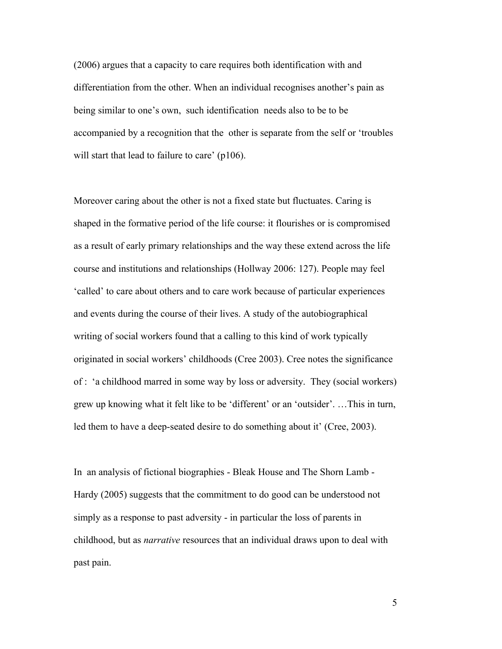(2006) argues that a capacity to care requires both identification with and differentiation from the other. When an individual recognises another's pain as being similar to one's own, such identification needs also to be to be accompanied by a recognition that the other is separate from the self or 'troubles will start that lead to failure to care' (p106).

Moreover caring about the other is not a fixed state but fluctuates. Caring is shaped in the formative period of the life course: it flourishes or is compromised as a result of early primary relationships and the way these extend across the life course and institutions and relationships (Hollway 2006: 127). People may feel 'called' to care about others and to care work because of particular experiences and events during the course of their lives. A study of the autobiographical writing of social workers found that a calling to this kind of work typically originated in social workers' childhoods (Cree 2003). Cree notes the significance of : 'a childhood marred in some way by loss or adversity. They (social workers) grew up knowing what it felt like to be 'different' or an 'outsider'. …This in turn, led them to have a deep-seated desire to do something about it' (Cree, 2003).

In an analysis of fictional biographies - Bleak House and The Shorn Lamb - Hardy (2005) suggests that the commitment to do good can be understood not simply as a response to past adversity - in particular the loss of parents in childhood, but as *narrative* resources that an individual draws upon to deal with past pain.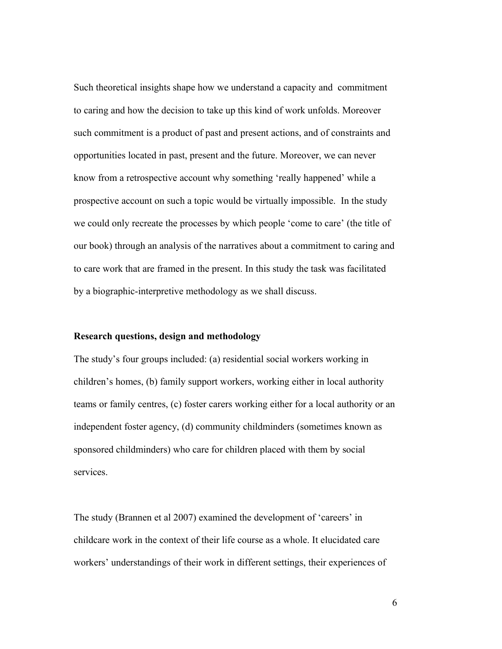Such theoretical insights shape how we understand a capacity and commitment to caring and how the decision to take up this kind of work unfolds. Moreover such commitment is a product of past and present actions, and of constraints and opportunities located in past, present and the future. Moreover, we can never know from a retrospective account why something 'really happened' while a prospective account on such a topic would be virtually impossible. In the study we could only recreate the processes by which people 'come to care' (the title of our book) through an analysis of the narratives about a commitment to caring and to care work that are framed in the present. In this study the task was facilitated by a biographic-interpretive methodology as we shall discuss.

# **Research questions, design and methodology**

The study's four groups included: (a) residential social workers working in children's homes, (b) family support workers, working either in local authority teams or family centres, (c) foster carers working either for a local authority or an independent foster agency, (d) community childminders (sometimes known as sponsored childminders) who care for children placed with them by social services.

The study (Brannen et al 2007) examined the development of 'careers' in childcare work in the context of their life course as a whole. It elucidated care workers' understandings of their work in different settings, their experiences of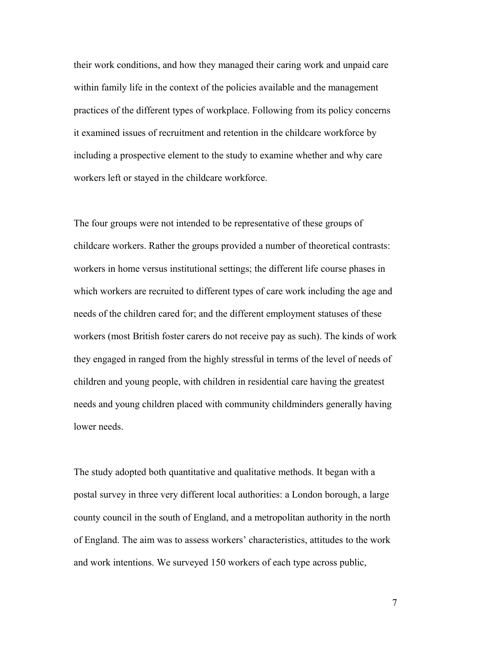their work conditions, and how they managed their caring work and unpaid care within family life in the context of the policies available and the management practices of the different types of workplace. Following from its policy concerns it examined issues of recruitment and retention in the childcare workforce by including a prospective element to the study to examine whether and why care workers left or stayed in the childcare workforce.

The four groups were not intended to be representative of these groups of childcare workers. Rather the groups provided a number of theoretical contrasts: workers in home versus institutional settings; the different life course phases in which workers are recruited to different types of care work including the age and needs of the children cared for; and the different employment statuses of these workers (most British foster carers do not receive pay as such). The kinds of work they engaged in ranged from the highly stressful in terms of the level of needs of children and young people, with children in residential care having the greatest needs and young children placed with community childminders generally having lower needs.

The study adopted both quantitative and qualitative methods. It began with a postal survey in three very different local authorities: a London borough, a large county council in the south of England, and a metropolitan authority in the north of England. The aim was to assess workers' characteristics, attitudes to the work and work intentions. We surveyed 150 workers of each type across public,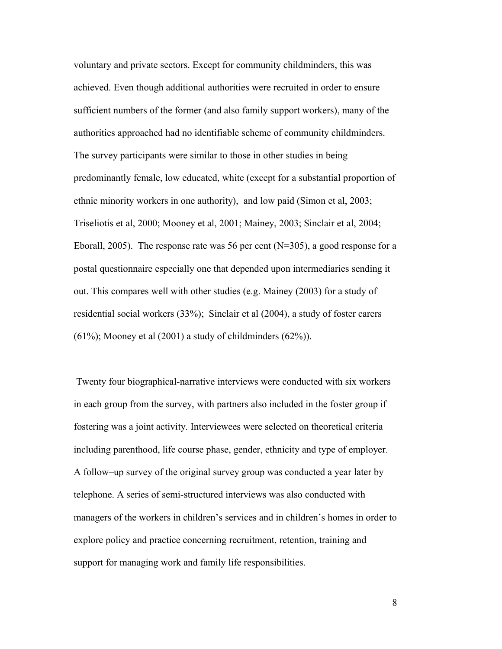voluntary and private sectors. Except for community childminders, this was achieved. Even though additional authorities were recruited in order to ensure sufficient numbers of the former (and also family support workers), many of the authorities approached had no identifiable scheme of community childminders. The survey participants were similar to those in other studies in being predominantly female, low educated, white (except for a substantial proportion of ethnic minority workers in one authority), and low paid (Simon et al, 2003; Triseliotis et al, 2000; Mooney et al, 2001; Mainey, 2003; Sinclair et al, 2004; Eborall, 2005). The response rate was 56 per cent  $(N=305)$ , a good response for a postal questionnaire especially one that depended upon intermediaries sending it out. This compares well with other studies (e.g. Mainey (2003) for a study of residential social workers (33%); Sinclair et al (2004), a study of foster carers  $(61\%)$ ; Mooney et al  $(2001)$  a study of childminders  $(62\%)$ ).

 Twenty four biographical-narrative interviews were conducted with six workers in each group from the survey, with partners also included in the foster group if fostering was a joint activity. Interviewees were selected on theoretical criteria including parenthood, life course phase, gender, ethnicity and type of employer. A follow–up survey of the original survey group was conducted a year later by telephone. A series of semi-structured interviews was also conducted with managers of the workers in children's services and in children's homes in order to explore policy and practice concerning recruitment, retention, training and support for managing work and family life responsibilities.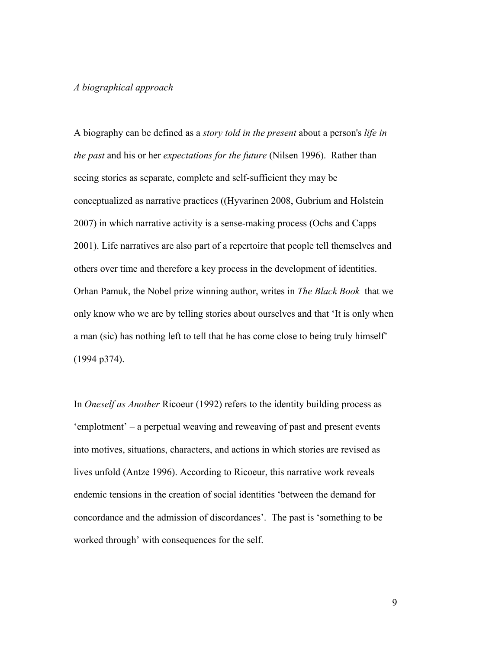## *A biographical approach*

A biography can be defined as a *story told in the present* about a person's *life in the past* and his or her *expectations for the future* (Nilsen 1996). Rather than seeing stories as separate, complete and self-sufficient they may be conceptualized as narrative practices ((Hyvarinen 2008, Gubrium and Holstein 2007) in which narrative activity is a sense-making process (Ochs and Capps 2001). Life narratives are also part of a repertoire that people tell themselves and others over time and therefore a key process in the development of identities. Orhan Pamuk, the Nobel prize winning author, writes in *The Black Book* that we only know who we are by telling stories about ourselves and that 'It is only when a man (sic) has nothing left to tell that he has come close to being truly himself' (1994 p374).

In *Oneself as Another* Ricoeur (1992) refers to the identity building process as 'emplotment' – a perpetual weaving and reweaving of past and present events into motives, situations, characters, and actions in which stories are revised as lives unfold (Antze 1996). According to Ricoeur, this narrative work reveals endemic tensions in the creation of social identities 'between the demand for concordance and the admission of discordances'. The past is 'something to be worked through' with consequences for the self.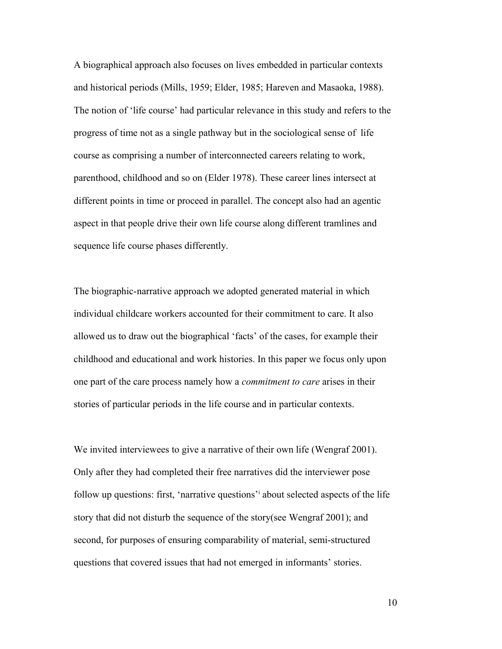A biographical approach also focuses on lives embedded in particular contexts and historical periods (Mills, 1959; Elder, 1985; Hareven and Masaoka, 1988). The notion of 'life course' had particular relevance in this study and refers to the progress of time not as a single pathway but in the sociological sense of life course as comprising a number of interconnected careers relating to work, parenthood, childhood and so on (Elder 1978). These career lines intersect at different points in time or proceed in parallel. The concept also had an agentic aspect in that people drive their own life course along different tramlines and sequence life course phases differently.

The biographic-narrative approach we adopted generated material in which individual childcare workers accounted for their commitment to care. It also allowed us to draw out the biographical 'facts' of the cases, for example their childhood and educational and work histories. In this paper we focus only upon one part of the care process namely how a *commitment to care* arises in their stories of particular periods in the life course and in particular contexts.

We invited interviewees to give a narrative of their own life (Wengraf 2001). Only after they had completed their free narratives did the interviewer pose follow up quest[i](#page-36-0)ons: first, 'narrative questions' about selected aspects of the life story that did not disturb the sequence of the story(see Wengraf 2001); and second, for purposes of ensuring comparability of material, semi-structured questions that covered issues that had not emerged in informants' stories.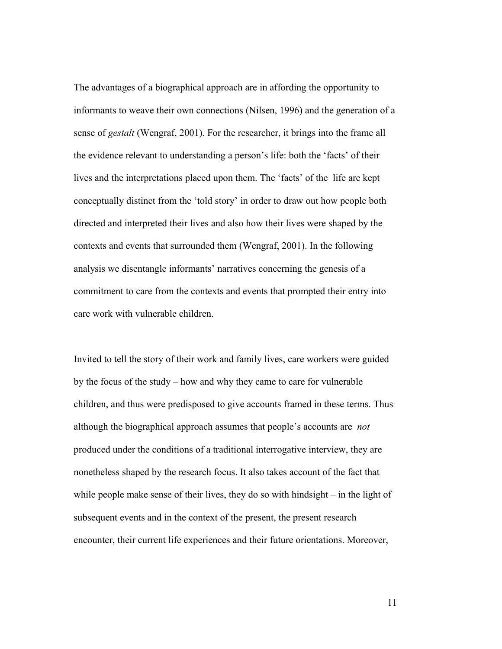The advantages of a biographical approach are in affording the opportunity to informants to weave their own connections (Nilsen, 1996) and the generation of a sense of *gestalt* (Wengraf, 2001). For the researcher, it brings into the frame all the evidence relevant to understanding a person's life: both the 'facts' of their lives and the interpretations placed upon them. The 'facts' of the life are kept conceptually distinct from the 'told story' in order to draw out how people both directed and interpreted their lives and also how their lives were shaped by the contexts and events that surrounded them (Wengraf, 2001). In the following analysis we disentangle informants' narratives concerning the genesis of a commitment to care from the contexts and events that prompted their entry into care work with vulnerable children.

Invited to tell the story of their work and family lives, care workers were guided by the focus of the study – how and why they came to care for vulnerable children, and thus were predisposed to give accounts framed in these terms. Thus although the biographical approach assumes that people's accounts are *not* produced under the conditions of a traditional interrogative interview, they are nonetheless shaped by the research focus. It also takes account of the fact that while people make sense of their lives, they do so with hindsight – in the light of subsequent events and in the context of the present, the present research encounter, their current life experiences and their future orientations. Moreover,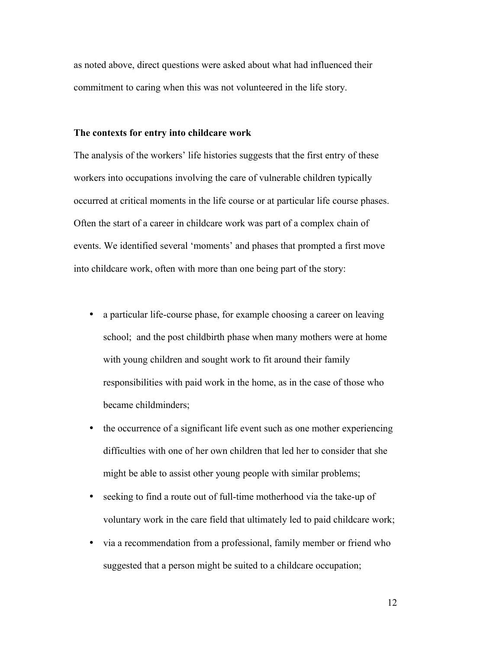as noted above, direct questions were asked about what had influenced their commitment to caring when this was not volunteered in the life story.

# **The contexts for entry into childcare work**

The analysis of the workers' life histories suggests that the first entry of these workers into occupations involving the care of vulnerable children typically occurred at critical moments in the life course or at particular life course phases. Often the start of a career in childcare work was part of a complex chain of events. We identified several 'moments' and phases that prompted a first move into childcare work, often with more than one being part of the story:

- a particular life-course phase, for example choosing a career on leaving school; and the post childbirth phase when many mothers were at home with young children and sought work to fit around their family responsibilities with paid work in the home, as in the case of those who became childminders;
- the occurrence of a significant life event such as one mother experiencing difficulties with one of her own children that led her to consider that she might be able to assist other young people with similar problems;
- seeking to find a route out of full-time motherhood via the take-up of voluntary work in the care field that ultimately led to paid childcare work;
- via a recommendation from a professional, family member or friend who suggested that a person might be suited to a childcare occupation;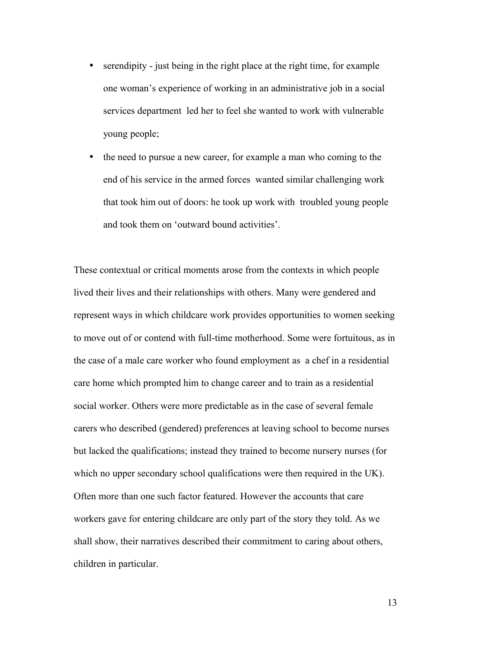- serendipity just being in the right place at the right time, for example one woman's experience of working in an administrative job in a social services department led her to feel she wanted to work with vulnerable young people;
- the need to pursue a new career, for example a man who coming to the end of his service in the armed forces wanted similar challenging work that took him out of doors: he took up work with troubled young people and took them on 'outward bound activities'.

These contextual or critical moments arose from the contexts in which people lived their lives and their relationships with others. Many were gendered and represent ways in which childcare work provides opportunities to women seeking to move out of or contend with full-time motherhood. Some were fortuitous, as in the case of a male care worker who found employment as a chef in a residential care home which prompted him to change career and to train as a residential social worker. Others were more predictable as in the case of several female carers who described (gendered) preferences at leaving school to become nurses but lacked the qualifications; instead they trained to become nursery nurses (for which no upper secondary school qualifications were then required in the UK). Often more than one such factor featured. However the accounts that care workers gave for entering childcare are only part of the story they told. As we shall show, their narratives described their commitment to caring about others, children in particular.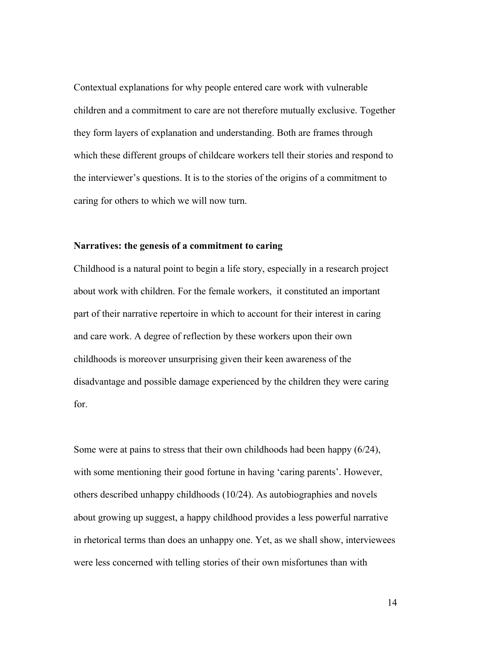Contextual explanations for why people entered care work with vulnerable children and a commitment to care are not therefore mutually exclusive. Together they form layers of explanation and understanding. Both are frames through which these different groups of childcare workers tell their stories and respond to the interviewer's questions. It is to the stories of the origins of a commitment to caring for others to which we will now turn.

## **Narratives: the genesis of a commitment to caring**

Childhood is a natural point to begin a life story, especially in a research project about work with children. For the female workers, it constituted an important part of their narrative repertoire in which to account for their interest in caring and care work. A degree of reflection by these workers upon their own childhoods is moreover unsurprising given their keen awareness of the disadvantage and possible damage experienced by the children they were caring for.

Some were at pains to stress that their own childhoods had been happy (6/24), with some mentioning their good fortune in having 'caring parents'. However, others described unhappy childhoods (10/24). As autobiographies and novels about growing up suggest, a happy childhood provides a less powerful narrative in rhetorical terms than does an unhappy one. Yet, as we shall show, interviewees were less concerned with telling stories of their own misfortunes than with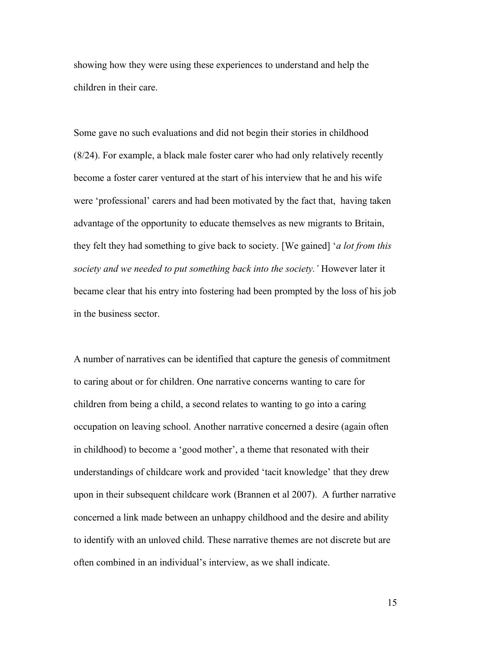showing how they were using these experiences to understand and help the children in their care.

Some gave no such evaluations and did not begin their stories in childhood (8/24). For example, a black male foster carer who had only relatively recently become a foster carer ventured at the start of his interview that he and his wife were 'professional' carers and had been motivated by the fact that, having taken advantage of the opportunity to educate themselves as new migrants to Britain, they felt they had something to give back to society. [We gained] '*a lot from this society and we needed to put something back into the society.'* However later it became clear that his entry into fostering had been prompted by the loss of his job in the business sector.

A number of narratives can be identified that capture the genesis of commitment to caring about or for children. One narrative concerns wanting to care for children from being a child, a second relates to wanting to go into a caring occupation on leaving school. Another narrative concerned a desire (again often in childhood) to become a 'good mother', a theme that resonated with their understandings of childcare work and provided 'tacit knowledge' that they drew upon in their subsequent childcare work (Brannen et al 2007). A further narrative concerned a link made between an unhappy childhood and the desire and ability to identify with an unloved child. These narrative themes are not discrete but are often combined in an individual's interview, as we shall indicate.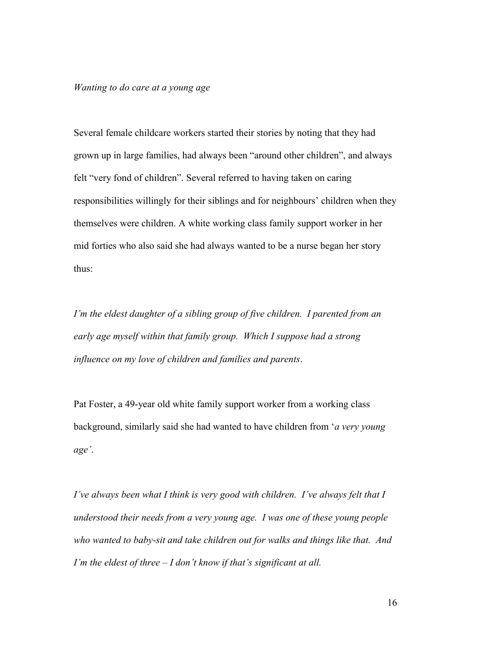# *Wanting to do care at a young age*

Several female childcare workers started their stories by noting that they had grown up in large families, had always been "around other children", and always felt "very fond of children". Several referred to having taken on caring responsibilities willingly for their siblings and for neighbours' children when they themselves were children. A white working class family support worker in her mid forties who also said she had always wanted to be a nurse began her story thus:

*I'm the eldest daughter of a sibling group of five children. I parented from an early age myself within that family group. Which I suppose had a strong influence on my love of children and families and parents*.

Pat Foster, a 49-year old white family support worker from a working class background, similarly said she had wanted to have children from '*a very young age'*.

*I've always been what I think is very good with children. I've always felt that I understood their needs from a very young age. I was one of these young people who wanted to baby-sit and take children out for walks and things like that. And I'm the eldest of three – I don't know if that's significant at all.*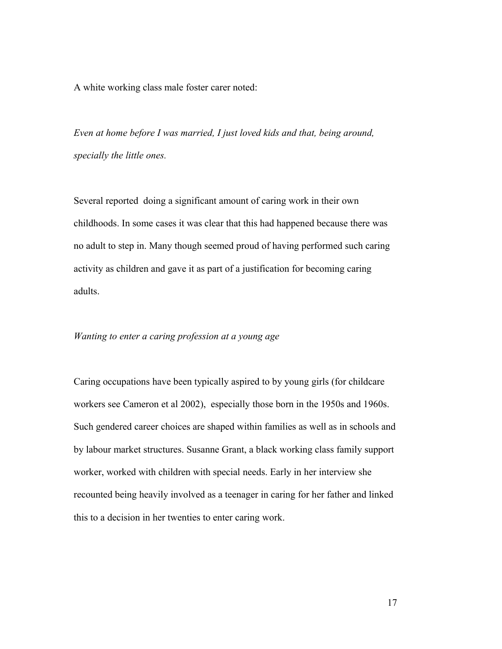A white working class male foster carer noted:

*Even at home before I was married, I just loved kids and that, being around, specially the little ones.*

Several reported doing a significant amount of caring work in their own childhoods. In some cases it was clear that this had happened because there was no adult to step in. Many though seemed proud of having performed such caring activity as children and gave it as part of a justification for becoming caring adults.

## *Wanting to enter a caring profession at a young age*

Caring occupations have been typically aspired to by young girls (for childcare workers see Cameron et al 2002), especially those born in the 1950s and 1960s. Such gendered career choices are shaped within families as well as in schools and by labour market structures. Susanne Grant, a black working class family support worker, worked with children with special needs. Early in her interview she recounted being heavily involved as a teenager in caring for her father and linked this to a decision in her twenties to enter caring work.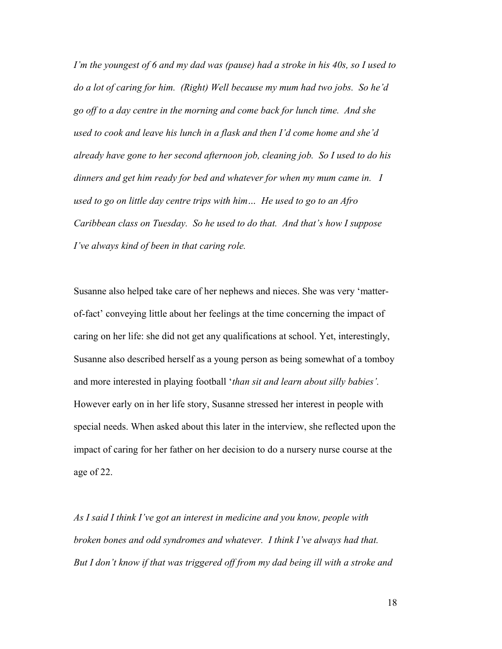*I'm the youngest of 6 and my dad was (pause) had a stroke in his 40s, so I used to do a lot of caring for him. (Right) Well because my mum had two jobs. So he'd go off to a day centre in the morning and come back for lunch time. And she used to cook and leave his lunch in a flask and then I'd come home and she'd already have gone to her second afternoon job, cleaning job. So I used to do his dinners and get him ready for bed and whatever for when my mum came in. I used to go on little day centre trips with him… He used to go to an Afro Caribbean class on Tuesday. So he used to do that. And that's how I suppose I've always kind of been in that caring role.*

Susanne also helped take care of her nephews and nieces. She was very 'matterof-fact' conveying little about her feelings at the time concerning the impact of caring on her life: she did not get any qualifications at school. Yet, interestingly, Susanne also described herself as a young person as being somewhat of a tomboy and more interested in playing football '*than sit and learn about silly babies'.* However early on in her life story, Susanne stressed her interest in people with special needs. When asked about this later in the interview, she reflected upon the impact of caring for her father on her decision to do a nursery nurse course at the age of 22.

*As I said I think I've got an interest in medicine and you know, people with broken bones and odd syndromes and whatever. I think I've always had that. But I don't know if that was triggered off from my dad being ill with a stroke and*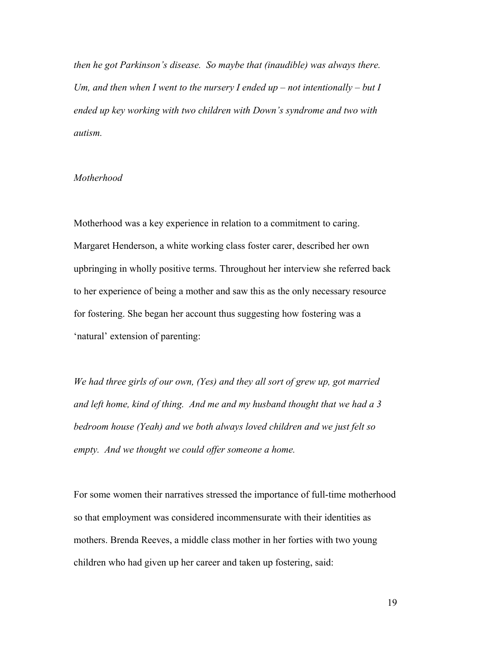*then he got Parkinson's disease. So maybe that (inaudible) was always there. Um, and then when I went to the nursery I ended up – not intentionally – but I ended up key working with two children with Down's syndrome and two with autism.*

# *Motherhood*

Motherhood was a key experience in relation to a commitment to caring. Margaret Henderson, a white working class foster carer, described her own upbringing in wholly positive terms. Throughout her interview she referred back to her experience of being a mother and saw this as the only necessary resource for fostering. She began her account thus suggesting how fostering was a 'natural' extension of parenting:

*We had three girls of our own, (Yes) and they all sort of grew up, got married and left home, kind of thing. And me and my husband thought that we had a 3 bedroom house (Yeah) and we both always loved children and we just felt so empty. And we thought we could offer someone a home.* 

For some women their narratives stressed the importance of full-time motherhood so that employment was considered incommensurate with their identities as mothers. Brenda Reeves, a middle class mother in her forties with two young children who had given up her career and taken up fostering, said: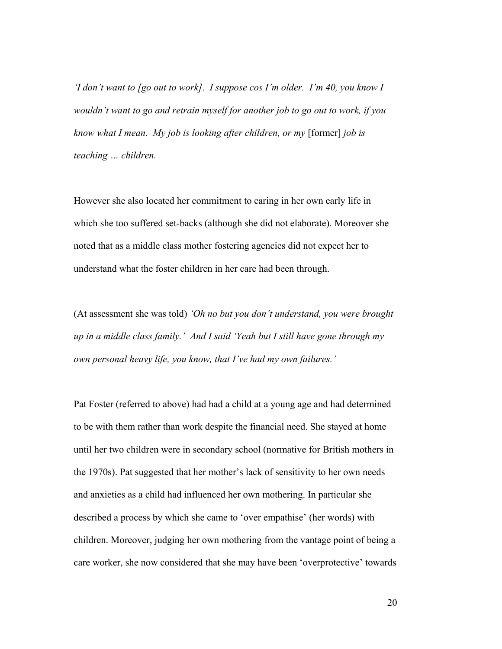*'I don't want to [go out to work]. I suppose cos I'm older. I'm 40, you know I wouldn't want to go and retrain myself for another job to go out to work, if you know what I mean. My job is looking after children, or my* [former] *job is teaching … children.* 

However she also located her commitment to caring in her own early life in which she too suffered set-backs (although she did not elaborate). Moreover she noted that as a middle class mother fostering agencies did not expect her to understand what the foster children in her care had been through.

(At assessment she was told) *'Oh no but you don't understand, you were brought up in a middle class family.' And I said 'Yeah but I still have gone through my own personal heavy life, you know, that I've had my own failures.'*

Pat Foster (referred to above) had had a child at a young age and had determined to be with them rather than work despite the financial need. She stayed at home until her two children were in secondary school (normative for British mothers in the 1970s). Pat suggested that her mother's lack of sensitivity to her own needs and anxieties as a child had influenced her own mothering. In particular she described a process by which she came to 'over empathise' (her words) with children. Moreover, judging her own mothering from the vantage point of being a care worker, she now considered that she may have been 'overprotective' towards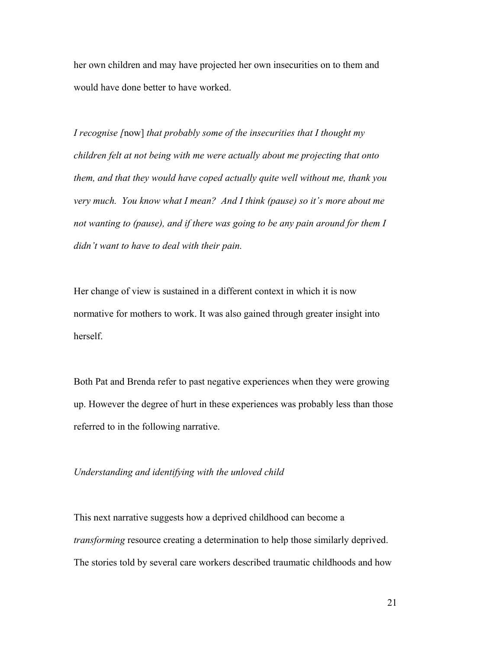her own children and may have projected her own insecurities on to them and would have done better to have worked.

*I recognise [*now] *that probably some of the insecurities that I thought my children felt at not being with me were actually about me projecting that onto them, and that they would have coped actually quite well without me, thank you very much. You know what I mean? And I think (pause) so it's more about me not wanting to (pause), and if there was going to be any pain around for them I didn't want to have to deal with their pain.*

Her change of view is sustained in a different context in which it is now normative for mothers to work. It was also gained through greater insight into herself.

Both Pat and Brenda refer to past negative experiences when they were growing up. However the degree of hurt in these experiences was probably less than those referred to in the following narrative.

# *Understanding and identifying with the unloved child*

This next narrative suggests how a deprived childhood can become a *transforming* resource creating a determination to help those similarly deprived. The stories told by several care workers described traumatic childhoods and how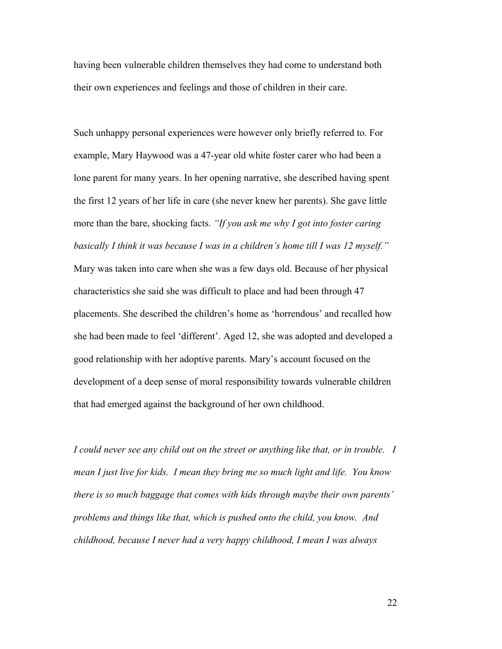having been vulnerable children themselves they had come to understand both their own experiences and feelings and those of children in their care.

Such unhappy personal experiences were however only briefly referred to. For example, Mary Haywood was a 47-year old white foster carer who had been a lone parent for many years. In her opening narrative, she described having spent the first 12 years of her life in care (she never knew her parents). She gave little more than the bare, shocking facts. *"If you ask me why I got into foster caring basically I think it was because I was in a children's home till I was 12 myself."* Mary was taken into care when she was a few days old. Because of her physical characteristics she said she was difficult to place and had been through 47 placements. She described the children's home as 'horrendous' and recalled how she had been made to feel 'different'. Aged 12, she was adopted and developed a good relationship with her adoptive parents. Mary's account focused on the development of a deep sense of moral responsibility towards vulnerable children that had emerged against the background of her own childhood.

*I could never see any child out on the street or anything like that, or in trouble. I mean I just live for kids. I mean they bring me so much light and life. You know there is so much baggage that comes with kids through maybe their own parents' problems and things like that, which is pushed onto the child, you know. And childhood, because I never had a very happy childhood, I mean I was always*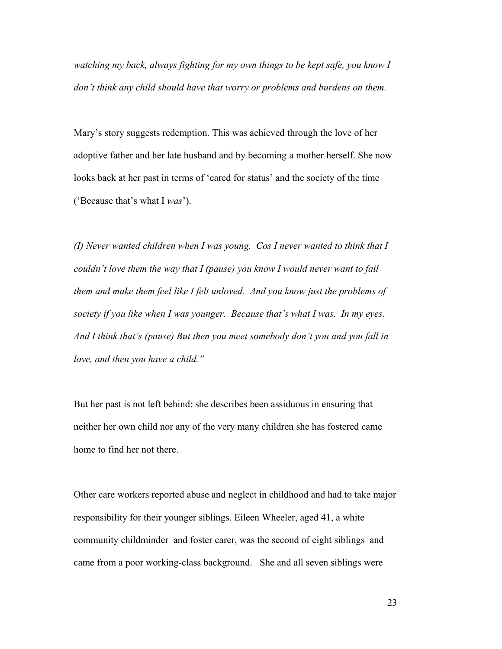*watching my back, always fighting for my own things to be kept safe, you know I don't think any child should have that worry or problems and burdens on them.*

Mary's story suggests redemption. This was achieved through the love of her adoptive father and her late husband and by becoming a mother herself. She now looks back at her past in terms of 'cared for status' and the society of the time ('Because that's what I *was*').

*(I) Never wanted children when I was young. Cos I never wanted to think that I couldn't love them the way that I (pause) you know I would never want to fail them and make them feel like I felt unloved. And you know just the problems of society if you like when I was younger. Because that's what I was. In my eyes. And I think that's (pause) But then you meet somebody don't you and you fall in love, and then you have a child."* 

But her past is not left behind: she describes been assiduous in ensuring that neither her own child nor any of the very many children she has fostered came home to find her not there.

Other care workers reported abuse and neglect in childhood and had to take major responsibility for their younger siblings. Eileen Wheeler, aged 41, a white community childminder and foster carer, was the second of eight siblings and came from a poor working-class background. She and all seven siblings were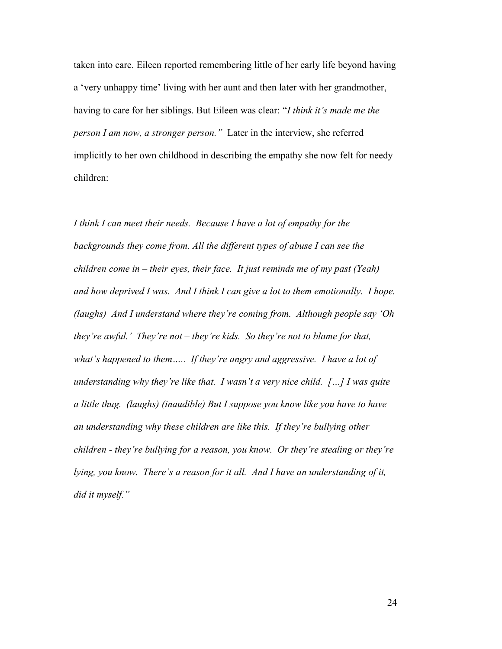taken into care. Eileen reported remembering little of her early life beyond having a 'very unhappy time' living with her aunt and then later with her grandmother, having to care for her siblings. But Eileen was clear: "*I think it's made me the person I am now, a stronger person."* Later in the interview, she referred implicitly to her own childhood in describing the empathy she now felt for needy children:

*I think I can meet their needs. Because I have a lot of empathy for the backgrounds they come from. All the different types of abuse I can see the children come in – their eyes, their face. It just reminds me of my past (Yeah) and how deprived I was. And I think I can give a lot to them emotionally. I hope. (laughs) And I understand where they're coming from. Although people say 'Oh they're awful.' They're not – they're kids. So they're not to blame for that, what's happened to them….. If they're angry and aggressive. I have a lot of understanding why they're like that. I wasn't a very nice child. […] I was quite a little thug. (laughs) (inaudible) But I suppose you know like you have to have an understanding why these children are like this. If they're bullying other children - they're bullying for a reason, you know. Or they're stealing or they're lying, you know. There's a reason for it all. And I have an understanding of it, did it myself."*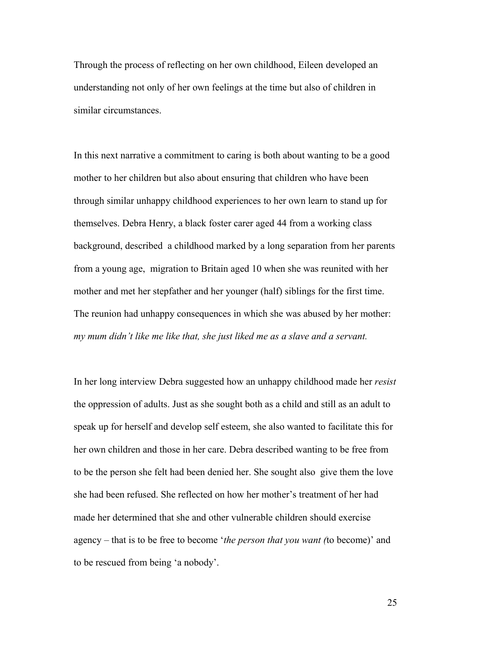Through the process of reflecting on her own childhood, Eileen developed an understanding not only of her own feelings at the time but also of children in similar circumstances.

In this next narrative a commitment to caring is both about wanting to be a good mother to her children but also about ensuring that children who have been through similar unhappy childhood experiences to her own learn to stand up for themselves. Debra Henry, a black foster carer aged 44 from a working class background, described a childhood marked by a long separation from her parents from a young age, migration to Britain aged 10 when she was reunited with her mother and met her stepfather and her younger (half) siblings for the first time. The reunion had unhappy consequences in which she was abused by her mother: *my mum didn't like me like that, she just liked me as a slave and a servant.*

In her long interview Debra suggested how an unhappy childhood made her *resist* the oppression of adults. Just as she sought both as a child and still as an adult to speak up for herself and develop self esteem, she also wanted to facilitate this for her own children and those in her care. Debra described wanting to be free from to be the person she felt had been denied her. She sought also give them the love she had been refused. She reflected on how her mother's treatment of her had made her determined that she and other vulnerable children should exercise agency – that is to be free to become '*the person that you want (*to become)' and to be rescued from being 'a nobody'.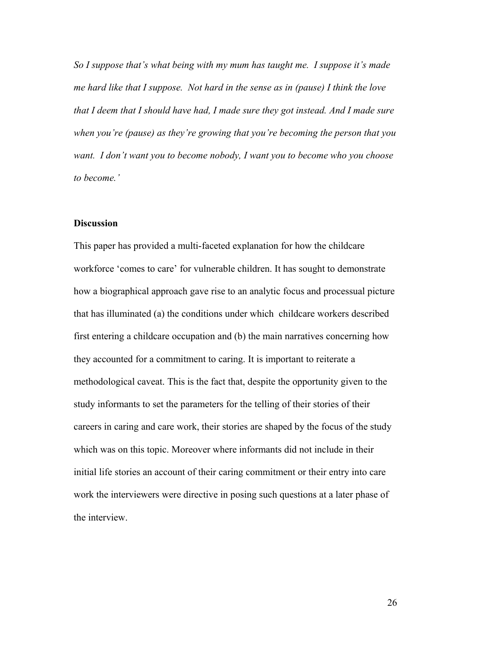*So I suppose that's what being with my mum has taught me. I suppose it's made me hard like that I suppose. Not hard in the sense as in (pause) I think the love that I deem that I should have had, I made sure they got instead. And I made sure when you're (pause) as they're growing that you're becoming the person that you want. I don't want you to become nobody, I want you to become who you choose to become.'*

#### **Discussion**

This paper has provided a multi-faceted explanation for how the childcare workforce 'comes to care' for vulnerable children. It has sought to demonstrate how a biographical approach gave rise to an analytic focus and processual picture that has illuminated (a) the conditions under which childcare workers described first entering a childcare occupation and (b) the main narratives concerning how they accounted for a commitment to caring. It is important to reiterate a methodological caveat. This is the fact that, despite the opportunity given to the study informants to set the parameters for the telling of their stories of their careers in caring and care work, their stories are shaped by the focus of the study which was on this topic. Moreover where informants did not include in their initial life stories an account of their caring commitment or their entry into care work the interviewers were directive in posing such questions at a later phase of the interview.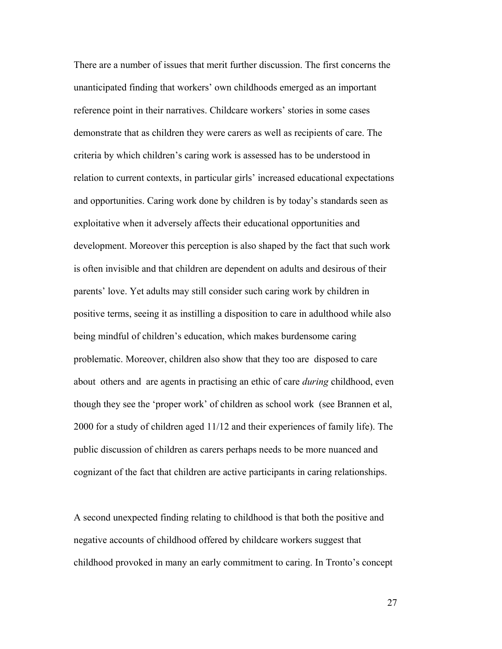There are a number of issues that merit further discussion. The first concerns the unanticipated finding that workers' own childhoods emerged as an important reference point in their narratives. Childcare workers' stories in some cases demonstrate that as children they were carers as well as recipients of care. The criteria by which children's caring work is assessed has to be understood in relation to current contexts, in particular girls' increased educational expectations and opportunities. Caring work done by children is by today's standards seen as exploitative when it adversely affects their educational opportunities and development. Moreover this perception is also shaped by the fact that such work is often invisible and that children are dependent on adults and desirous of their parents' love. Yet adults may still consider such caring work by children in positive terms, seeing it as instilling a disposition to care in adulthood while also being mindful of children's education, which makes burdensome caring problematic. Moreover, children also show that they too are disposed to care about others and are agents in practising an ethic of care *during* childhood, even though they see the 'proper work' of children as school work (see Brannen et al, 2000 for a study of children aged 11/12 and their experiences of family life). The public discussion of children as carers perhaps needs to be more nuanced and cognizant of the fact that children are active participants in caring relationships.

A second unexpected finding relating to childhood is that both the positive and negative accounts of childhood offered by childcare workers suggest that childhood provoked in many an early commitment to caring. In Tronto's concept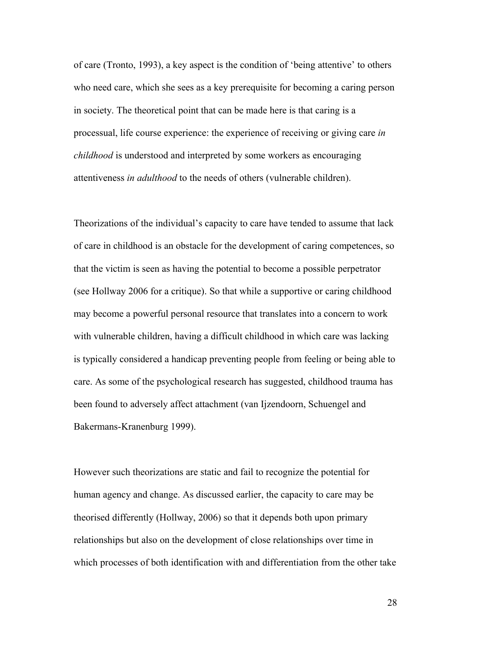of care (Tronto, 1993), a key aspect is the condition of 'being attentive' to others who need care, which she sees as a key prerequisite for becoming a caring person in society. The theoretical point that can be made here is that caring is a processual, life course experience: the experience of receiving or giving care *in childhood* is understood and interpreted by some workers as encouraging attentiveness *in adulthood* to the needs of others (vulnerable children).

Theorizations of the individual's capacity to care have tended to assume that lack of care in childhood is an obstacle for the development of caring competences, so that the victim is seen as having the potential to become a possible perpetrator (see Hollway 2006 for a critique). So that while a supportive or caring childhood may become a powerful personal resource that translates into a concern to work with vulnerable children, having a difficult childhood in which care was lacking is typically considered a handicap preventing people from feeling or being able to care. As some of the psychological research has suggested, childhood trauma has been found to adversely affect attachment (van Ijzendoorn, Schuengel and Bakermans-Kranenburg 1999).

However such theorizations are static and fail to recognize the potential for human agency and change. As discussed earlier, the capacity to care may be theorised differently (Hollway, 2006) so that it depends both upon primary relationships but also on the development of close relationships over time in which processes of both identification with and differentiation from the other take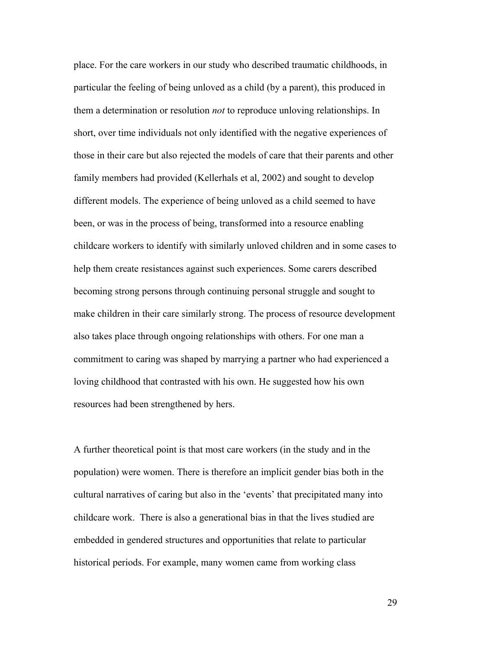place. For the care workers in our study who described traumatic childhoods, in particular the feeling of being unloved as a child (by a parent), this produced in them a determination or resolution *not* to reproduce unloving relationships. In short, over time individuals not only identified with the negative experiences of those in their care but also rejected the models of care that their parents and other family members had provided (Kellerhals et al, 2002) and sought to develop different models. The experience of being unloved as a child seemed to have been, or was in the process of being, transformed into a resource enabling childcare workers to identify with similarly unloved children and in some cases to help them create resistances against such experiences. Some carers described becoming strong persons through continuing personal struggle and sought to make children in their care similarly strong. The process of resource development also takes place through ongoing relationships with others. For one man a commitment to caring was shaped by marrying a partner who had experienced a loving childhood that contrasted with his own. He suggested how his own resources had been strengthened by hers.

A further theoretical point is that most care workers (in the study and in the population) were women. There is therefore an implicit gender bias both in the cultural narratives of caring but also in the 'events' that precipitated many into childcare work. There is also a generational bias in that the lives studied are embedded in gendered structures and opportunities that relate to particular historical periods. For example, many women came from working class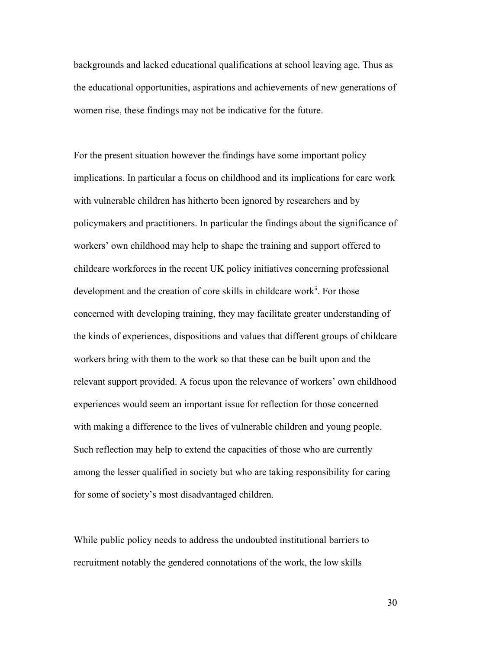backgrounds and lacked educational qualifications at school leaving age. Thus as the educational opportunities, aspirations and achievements of new generations of women rise, these findings may not be indicative for the future.

For the present situation however the findings have some important policy implications. In particular a focus on childhood and its implications for care work with vulnerable children has hitherto been ignored by researchers and by policymakers and practitioners. In particular the findings about the significance of workers' own childhood may help to shape the training and support offered to childcare workforces in the recent UK policy initiatives concerning professional development and the creation of core skills in childcare work<sup>[ii](#page-36-1)</sup>. For those concerned with developing training, they may facilitate greater understanding of the kinds of experiences, dispositions and values that different groups of childcare workers bring with them to the work so that these can be built upon and the relevant support provided. A focus upon the relevance of workers' own childhood experiences would seem an important issue for reflection for those concerned with making a difference to the lives of vulnerable children and young people. Such reflection may help to extend the capacities of those who are currently among the lesser qualified in society but who are taking responsibility for caring for some of society's most disadvantaged children.

While public policy needs to address the undoubted institutional barriers to recruitment notably the gendered connotations of the work, the low skills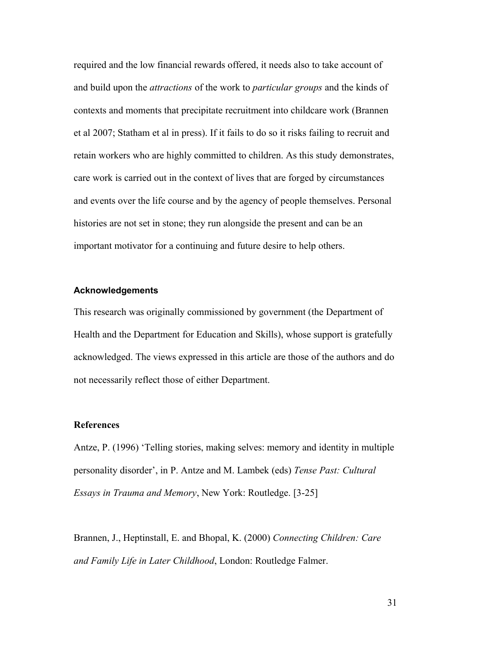required and the low financial rewards offered, it needs also to take account of and build upon the *attractions* of the work to *particular groups* and the kinds of contexts and moments that precipitate recruitment into childcare work (Brannen et al 2007; Statham et al in press). If it fails to do so it risks failing to recruit and retain workers who are highly committed to children. As this study demonstrates, care work is carried out in the context of lives that are forged by circumstances and events over the life course and by the agency of people themselves. Personal histories are not set in stone; they run alongside the present and can be an important motivator for a continuing and future desire to help others.

#### **Acknowledgements**

This research was originally commissioned by government (the Department of Health and the Department for Education and Skills), whose support is gratefully acknowledged. The views expressed in this article are those of the authors and do not necessarily reflect those of either Department.

# **References**

Antze, P. (1996) 'Telling stories, making selves: memory and identity in multiple personality disorder', in P. Antze and M. Lambek (eds) *Tense Past: Cultural Essays in Trauma and Memory*, New York: Routledge. [3-25]

Brannen, J., Heptinstall, E. and Bhopal, K. (2000) *Connecting Children: Care and Family Life in Later Childhood*, London: Routledge Falmer.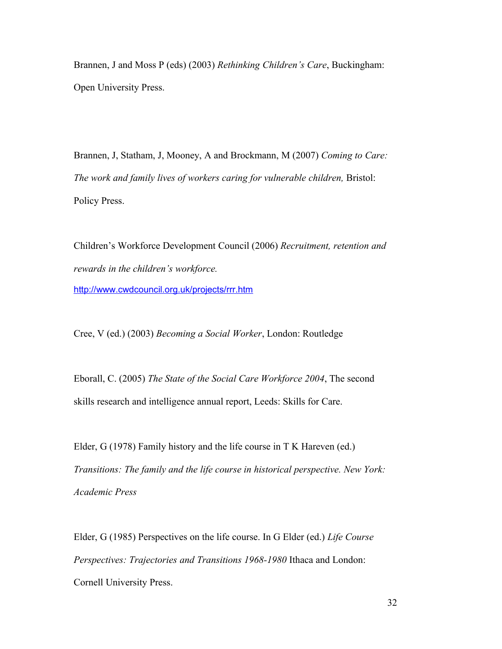Brannen, J and Moss P (eds) (2003) *Rethinking Children's Care*, Buckingham: Open University Press.

Brannen, J, Statham, J, Mooney, A and Brockmann, M (2007) *Coming to Care: The work and family lives of workers caring for vulnerable children, Bristol:* Policy Press.

Children's Workforce Development Council (2006) *Recruitment, retention and rewards in the children's workforce.* <http://www.cwdcouncil.org.uk/projects/rrr.htm>

Cree, V (ed.) (2003) *Becoming a Social Worker*, London: Routledge

Eborall, C. (2005) *The State of the Social Care Workforce 2004*, The second skills research and intelligence annual report, Leeds: Skills for Care.

Elder, G (1978) Family history and the life course in T K Hareven (ed.) *Transitions: The family and the life course in historical perspective. New York: Academic Press*

Elder, G (1985) Perspectives on the life course. In G Elder (ed.) *Life Course Perspectives: Trajectories and Transitions 1968-1980* Ithaca and London: Cornell University Press.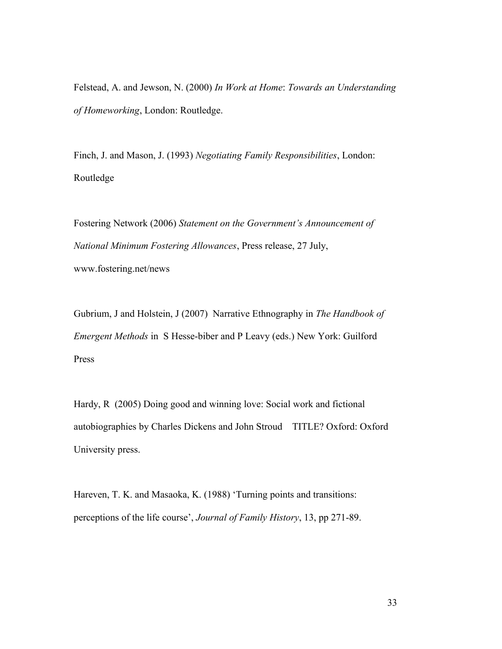Felstead, A. and Jewson, N. (2000) *In Work at Home*: *Towards an Understanding of Homeworking*, London: Routledge.

Finch, J. and Mason, J. (1993) *Negotiating Family Responsibilities*, London: Routledge

Fostering Network (2006) *Statement on the Government's Announcement of National Minimum Fostering Allowances*, Press release, 27 July, www.fostering.net/news

Gubrium, J and Holstein, J (2007) Narrative Ethnography in *The Handbook of Emergent Methods* in S Hesse-biber and P Leavy (eds.) New York: Guilford Press

Hardy, R (2005) Doing good and winning love: Social work and fictional autobiographies by Charles Dickens and John Stroud TITLE? Oxford: Oxford University press.

Hareven, T. K. and Masaoka, K. (1988) 'Turning points and transitions: perceptions of the life course', *Journal of Family History*, 13, pp 271-89.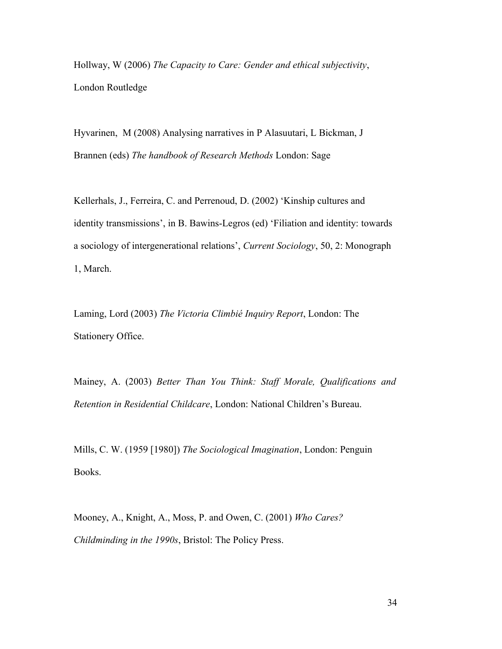Hollway, W (2006) *The Capacity to Care: Gender and ethical subjectivity*, London Routledge

Hyvarinen, M (2008) Analysing narratives in P Alasuutari, L Bickman, J Brannen (eds) *The handbook of Research Methods* London: Sage

Kellerhals, J., Ferreira, C. and Perrenoud, D. (2002) 'Kinship cultures and identity transmissions', in B. Bawins-Legros (ed) 'Filiation and identity: towards a sociology of intergenerational relations', *Current Sociology*, 50, 2: Monograph 1, March.

Laming, Lord (2003) *The Victoria Climbié Inquiry Report*, London: The Stationery Office.

Mainey, A. (2003) *Better Than You Think: Staff Morale, Qualifications and Retention in Residential Childcare*, London: National Children's Bureau.

Mills, C. W. (1959 [1980]) *The Sociological Imagination*, London: Penguin Books.

Mooney, A., Knight, A., Moss, P. and Owen, C. (2001) *Who Cares? Childminding in the 1990s*, Bristol: The Policy Press.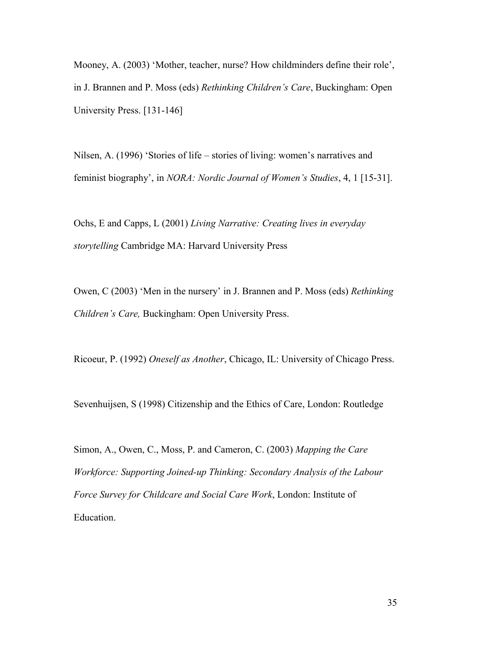Mooney, A. (2003) 'Mother, teacher, nurse? How childminders define their role', in J. Brannen and P. Moss (eds) *Rethinking Children's Care*, Buckingham: Open University Press. [131-146]

Nilsen, A. (1996) 'Stories of life – stories of living: women's narratives and feminist biography', in *NORA: Nordic Journal of Women's Studies*, 4, 1 [15-31].

Ochs, E and Capps, L (2001) *Living Narrative: Creating lives in everyday storytelling* Cambridge MA: Harvard University Press

Owen, C (2003) 'Men in the nursery' in J. Brannen and P. Moss (eds) *Rethinking Children's Care,* Buckingham: Open University Press.

Ricoeur, P. (1992) *Oneself as Another*, Chicago, IL: University of Chicago Press.

Sevenhuijsen, S (1998) Citizenship and the Ethics of Care, London: Routledge

Simon, A., Owen, C., Moss, P. and Cameron, C. (2003) *Mapping the Care Workforce: Supporting Joined-up Thinking: Secondary Analysis of the Labour Force Survey for Childcare and Social Care Work*, London: Institute of Education.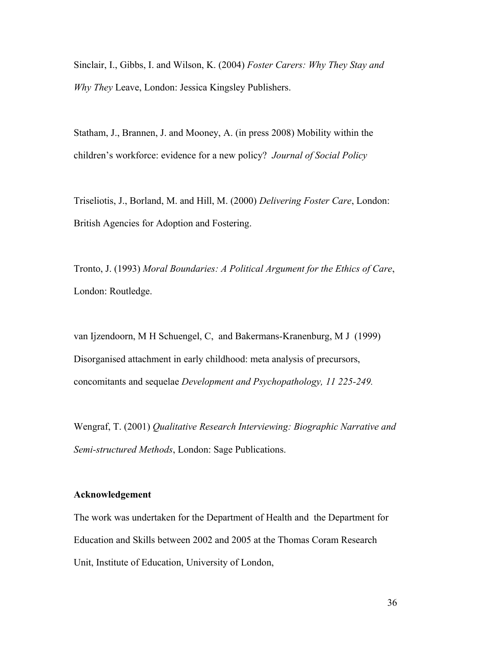Sinclair, I., Gibbs, I. and Wilson, K. (2004) *Foster Carers: Why They Stay and Why They* Leave, London: Jessica Kingsley Publishers.

Statham, J., Brannen, J. and Mooney, A. (in press 2008) Mobility within the children's workforce: evidence for a new policy? *Journal of Social Policy* 

Triseliotis, J., Borland, M. and Hill, M. (2000) *Delivering Foster Care*, London: British Agencies for Adoption and Fostering.

Tronto, J. (1993) *Moral Boundaries: A Political Argument for the Ethics of Care*, London: Routledge.

van Ijzendoorn, M H Schuengel, C, and Bakermans-Kranenburg, M J (1999) Disorganised attachment in early childhood: meta analysis of precursors, concomitants and sequelae *Development and Psychopathology, 11 225-249.*

Wengraf, T. (2001) *Qualitative Research Interviewing: Biographic Narrative and Semi-structured Methods*, London: Sage Publications.

# **Acknowledgement**

The work was undertaken for the Department of Health and the Department for Education and Skills between 2002 and 2005 at the Thomas Coram Research Unit, Institute of Education, University of London,